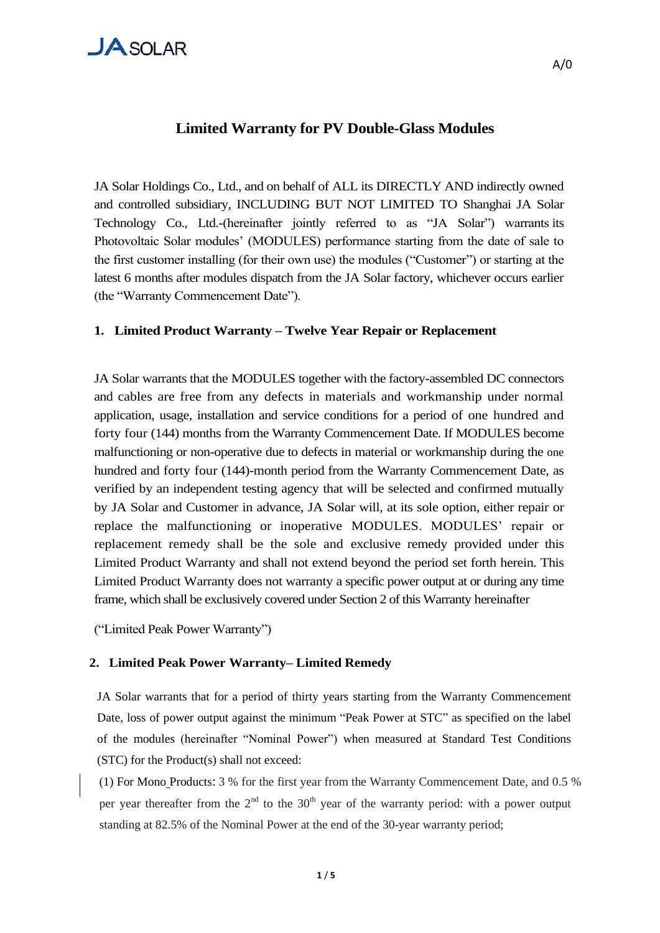#### **Limited Warranty for PV Double-Glass Modules**

JA Solar Holdings Co., Ltd., and on behalf of ALL its DIRECTLY AND indirectly owned and controlled subsidiary, INCLUDING BUT NOT LIMITED TO Shanghai JA Solar Technology Co., Ltd.-(hereinafter jointly referred to as "JA Solar") warrants its Photovoltaic Solar modules" (MODULES) performance starting from the date of sale to the first customer installing (for their own use) the modules ("Customer") or starting at the latest 6 months after modules dispatch from the JA Solar factory, whichever occurs earlier (the "Warranty Commencement Date").

#### **1.** .**Limited Product Warranty – Twelve Year Repair or Replacement**

JA Solar warrants that the MODULES together with the factory-assembled DC connectors and cables are free from any defects in materials and workmanship under normal application, usage, installation and service conditions for a period of one hundred and forty four (144) months from the Warranty Commencement Date. If MODULES become malfunctioning or non-operative due to defects in material or workmanship during the one hundred and forty four (144)-month period from the Warranty Commencement Date, as verified by an independent testing agency that will be selected and confirmed mutually by JA Solar and Customer in advance, JA Solar will, at its sole option, either repair or replace the malfunctioning or inoperative MODULES. MODULES" repair or replacement remedy shall be the sole and exclusive remedy provided under this Limited Product Warranty and shall not extend beyond the period set forth herein. This Limited Product Warranty does not warranty a specific power output at or during any time frame, which shall be exclusively covered under Section 2 of this Warranty hereinafter

("Limited Peak Power Warranty")

#### **2. Limited Peak Power Warranty– Limited Remedy**

JA Solar warrants that for a period of thirty years starting from the Warranty Commencement Date, loss of power output against the minimum "Peak Power at STC" as specified on the label of the modules (hereinafter "Nominal Power") when measured at Standard Test Conditions (STC) for the Product(s) shall not exceed:

(1) For Mono Products: 3 % for the first year from the Warranty Commencement Date, and 0.5 % per year thereafter from the  $2<sup>nd</sup>$  to the 30<sup>th</sup> year of the warranty period: with a power output standing at 82.5% of the Nominal Power at the end of the 30-year warranty period;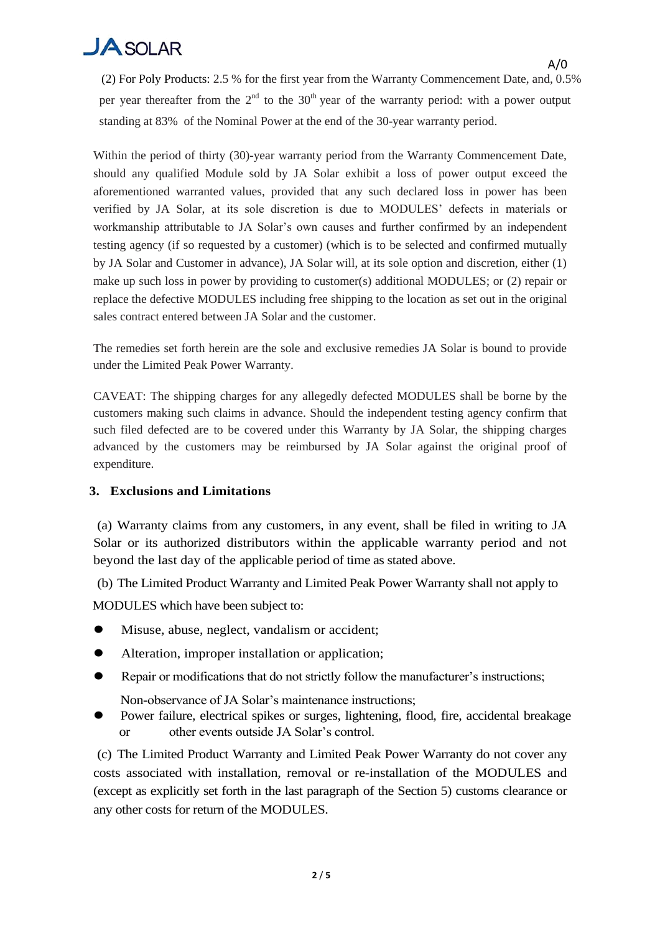## $J$ A SOLAR

A/0 (2) For Poly Products: 2.5 % for the first year from the Warranty Commencement Date, and, 0.5% per year thereafter from the  $2<sup>nd</sup>$  to the 30<sup>th</sup> year of the warranty period: with a power output standing at 83% of the Nominal Power at the end of the 30-year warranty period.

Within the period of thirty (30)-year warranty period from the Warranty Commencement Date, should any qualified Module sold by JA Solar exhibit a loss of power output exceed the aforementioned warranted values, provided that any such declared loss in power has been verified by JA Solar, at its sole discretion is due to MODULES" defects in materials or workmanship attributable to JA Solar's own causes and further confirmed by an independent testing agency (if so requested by a customer) (which is to be selected and confirmed mutually by JA Solar and Customer in advance), JA Solar will, at its sole option and discretion, either (1) make up such loss in power by providing to customer(s) additional MODULES; or (2) repair or replace the defective MODULES including free shipping to the location as set out in the original sales contract entered between JA Solar and the customer.

The remedies set forth herein are the sole and exclusive remedies JA Solar is bound to provide under the Limited Peak Power Warranty.

CAVEAT: The shipping charges for any allegedly defected MODULES shall be borne by the customers making such claims in advance. Should the independent testing agency confirm that such filed defected are to be covered under this Warranty by JA Solar, the shipping charges advanced by the customers may be reimbursed by JA Solar against the original proof of expenditure.

### **3.** .**Exclusions and Limitations**

(a) Warranty claims from any customers, in any event, shall be filed in writing to JA Solar or its authorized distributors within the applicable warranty period and not beyond the last day of the applicable period of time as stated above.

(b) The Limited Product Warranty and Limited Peak Power Warranty shall not apply to

MODULES which have been subject to:

- Misuse, abuse, neglect, vandalism or accident;
- Alteration, improper installation or application;
- Repair or modifications that do not strictly follow the manufacturer's instructions;

Non-observance of JA Solar"s maintenance instructions;

 Power failure, electrical spikes or surges, lightening, flood, fire, accidental breakage or other events outside JA Solar"s control.

(c) The Limited Product Warranty and Limited Peak Power Warranty do not cover any costs associated with installation, removal or re-installation of the MODULES and (except as explicitly set forth in the last paragraph of the Section 5) customs clearance or any other costs for return of the MODULES.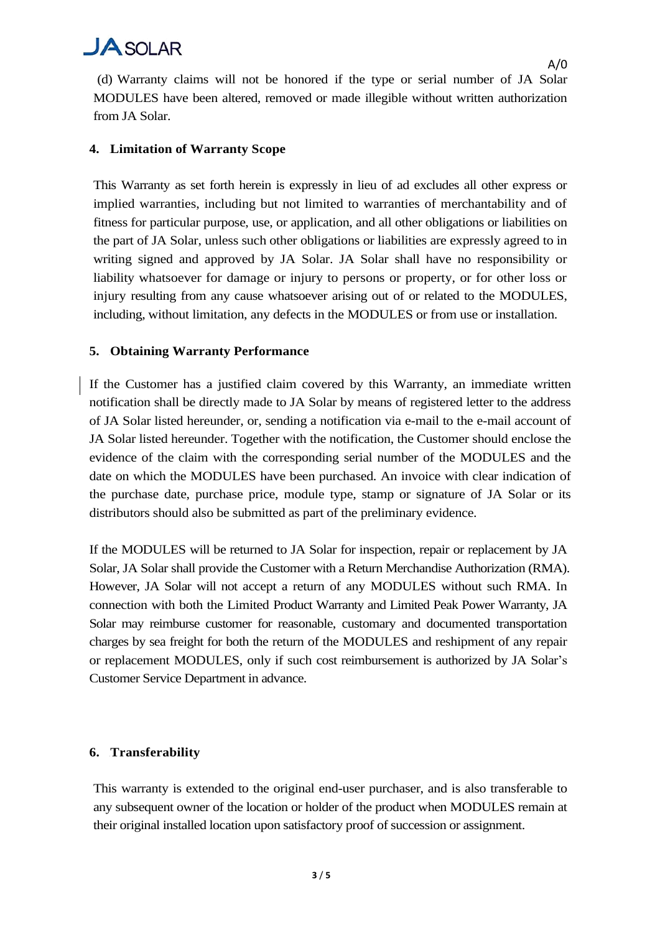## $J$ A SOLAR

(d) Warranty claims will not be honored if the type or serial number of JA Solar MODULES have been altered, removed or made illegible without written authorization from JA Solar.

### **4.** .**Limitation of Warranty Scope**

This Warranty as set forth herein is expressly in lieu of ad excludes all other express or implied warranties, including but not limited to warranties of merchantability and of fitness for particular purpose, use, or application, and all other obligations or liabilities on the part of JA Solar, unless such other obligations or liabilities are expressly agreed to in writing signed and approved by JA Solar. JA Solar shall have no responsibility or liability whatsoever for damage or injury to persons or property, or for other loss or injury resulting from any cause whatsoever arising out of or related to the MODULES, including, without limitation, any defects in the MODULES or from use or installation.

#### **5.** .**Obtaining Warranty Performance**

If the Customer has a justified claim covered by this Warranty, an immediate written notification shall be directly made to JA Solar by means of registered letter to the address of JA Solar listed hereunder, or, sending a notification via e-mail to the e-mail account of JA Solar listed hereunder. Together with the notification, the Customer should enclose the evidence of the claim with the corresponding serial number of the MODULES and the date on which the MODULES have been purchased. An invoice with clear indication of the purchase date, purchase price, module type, stamp or signature of JA Solar or its distributors should also be submitted as part of the preliminary evidence.

If the MODULES will be returned to JA Solar for inspection, repair or replacement by JA Solar, JA Solar shall provide the Customer with a Return Merchandise Authorization (RMA). However, JA Solar will not accept a return of any MODULES without such RMA. In connection with both the Limited Product Warranty and Limited Peak Power Warranty, JA Solar may reimburse customer for reasonable, customary and documented transportation charges by sea freight for both the return of the MODULES and reshipment of any repair or replacement MODULES, only if such cost reimbursement is authorized by JA Solar"s Customer Service Department in advance.

### **6.** .**Transferability**

This warranty is extended to the original end-user purchaser, and is also transferable to any subsequent owner of the location or holder of the product when MODULES remain at their original installed location upon satisfactory proof of succession or assignment.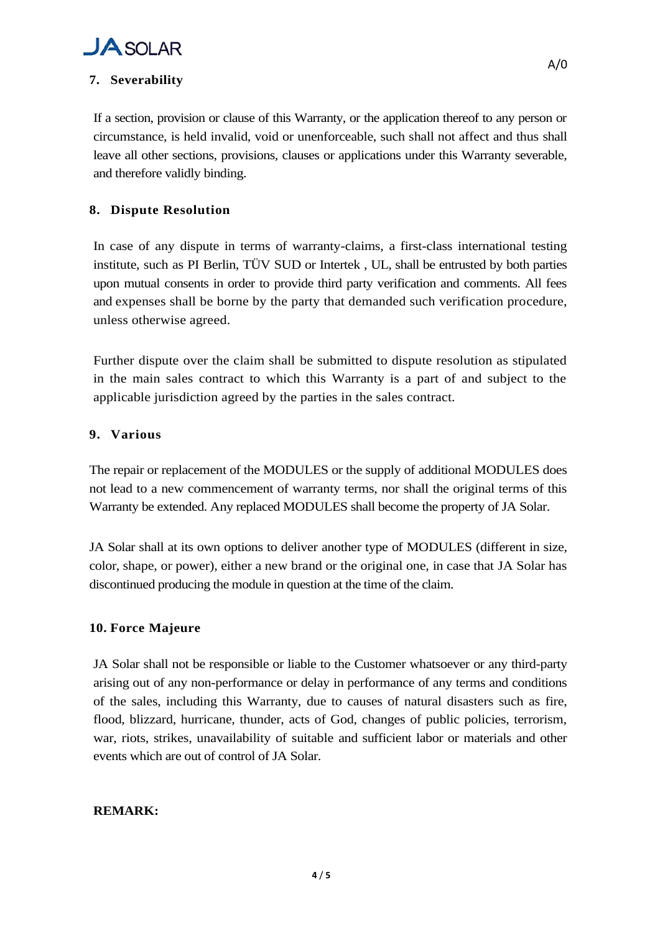

### **7.** .**Severability**

If a section, provision or clause of this Warranty, or the application thereof to any person or circumstance, is held invalid, void or unenforceable, such shall not affect and thus shall leave all other sections, provisions, clauses or applications under this Warranty severable, and therefore validly binding.

#### **8.** .**Dispute Resolution**

In case of any dispute in terms of warranty-claims, a first-class international testing institute, such as PI Berlin, TÜV SUD or Intertek , UL, shall be entrusted by both parties upon mutual consents in order to provide third party verification and comments. All fees and expenses shall be borne by the party that demanded such verification procedure, unless otherwise agreed.

Further dispute over the claim shall be submitted to dispute resolution as stipulated in the main sales contract to which this Warranty is a part of and subject to the applicable jurisdiction agreed by the parties in the sales contract.

#### **9.** .**Various**

The repair or replacement of the MODULES or the supply of additional MODULES does not lead to a new commencement of warranty terms, nor shall the original terms of this Warranty be extended. Any replaced MODULES shall become the property of JA Solar.

JA Solar shall at its own options to deliver another type of MODULES (different in size, color, shape, or power), either a new brand or the original one, in case that JA Solar has discontinued producing the module in question at the time of the claim.

### **10.** Force Majeure

JA Solar shall not be responsible or liable to the Customer whatsoever or any third-party arising out of any non-performance or delay in performance of any terms and conditions of the sales, including this Warranty, due to causes of natural disasters such as fire, flood, blizzard, hurricane, thunder, acts of God, changes of public policies, terrorism, war, riots, strikes, unavailability of suitable and sufficient labor or materials and other events which are out of control of JA Solar.

#### **REMARK:**